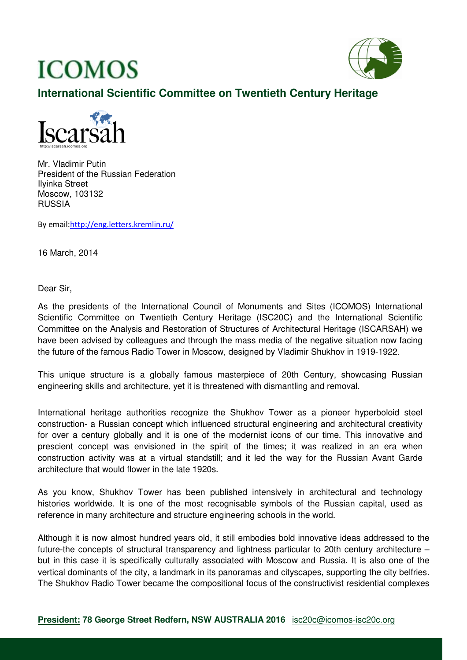# **ICOMOS**



# **International Scientific Committee on Twentieth Century Heritage**



Mr. Vladimir Putin President of the Russian Federation Ilyinka Street Moscow, 103132 RUSSIA

By email:http://eng.letters.kremlin.ru/

16 March, 2014

Dear Sir,

As the presidents of the International Council of Monuments and Sites (ICOMOS) International Scientific Committee on Twentieth Century Heritage (ISC20C) and the International Scientific Committee on the Analysis and Restoration of Structures of Architectural Heritage (ISCARSAH) we have been advised by colleagues and through the mass media of the negative situation now facing the future of the famous Radio Tower in Moscow, designed by Vladimir Shukhov in 1919-1922.

This unique structure is a globally famous masterpiece of 20th Century, showcasing Russian engineering skills and architecture, yet it is threatened with dismantling and removal.

International heritage authorities recognize the Shukhov Tower as a pioneer hyperboloid steel construction- a Russian concept which influenced structural engineering and architectural creativity for over a century globally and it is one of the modernist icons of our time. This innovative and prescient concept was envisioned in the spirit of the times; it was realized in an era when construction activity was at a virtual standstill; and it led the way for the Russian Avant Garde architecture that would flower in the late 1920s.

As you know, Shukhov Tower has been published intensively in architectural and technology histories worldwide. It is one of the most recognisable symbols of the Russian capital, used as reference in many architecture and structure engineering schools in the world.

Although it is now almost hundred years old, it still embodies bold innovative ideas addressed to the future-the concepts of structural transparency and lightness particular to 20th century architecture – but in this case it is specifically culturally associated with Moscow and Russia. It is also one of the vertical dominants of the city, a landmark in its panoramas and cityscapes, supporting the city belfries. The Shukhov Radio Tower became the compositional focus of the constructivist residential complexes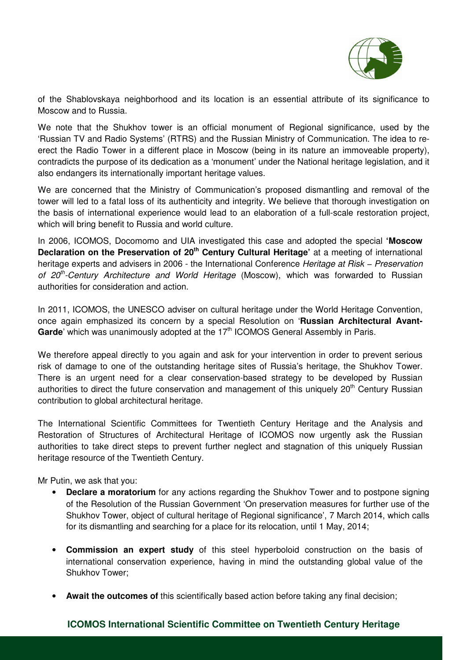

of the Shablovskaya neighborhood and its location is an essential attribute of its significance to Moscow and to Russia.

We note that the Shukhov tower is an official monument of Regional significance, used by the 'Russian TV and Radio Systems' (RTRS) and the Russian Ministry of Communication. The idea to reerect the Radio Tower in a different place in Moscow (being in its nature an immoveable property), contradicts the purpose of its dedication as a 'monument' under the National heritage legislation, and it also endangers its internationally important heritage values.

We are concerned that the Ministry of Communication's proposed dismantling and removal of the tower will led to a fatal loss of its authenticity and integrity. We believe that thorough investigation on the basis of international experience would lead to an elaboration of a full-scale restoration project, which will bring benefit to Russia and world culture.

In 2006, ICOMOS, Docomomo and UIA investigated this case and adopted the special **'Moscow Declaration on the Preservation of 20th Century Cultural Heritage'** at a meeting of international heritage experts and advisers in 2006 - the International Conference Heritage at Risk – Preservation of  $20<sup>th</sup>$ -Century Architecture and World Heritage (Moscow), which was forwarded to Russian authorities for consideration and action.

In 2011, ICOMOS, the UNESCO adviser on cultural heritage under the World Heritage Convention, once again emphasized its concern by a special Resolution on '**Russian Architectural Avant-**Garde' which was unanimously adopted at the 17<sup>th</sup> ICOMOS General Assembly in Paris.

We therefore appeal directly to you again and ask for your intervention in order to prevent serious risk of damage to one of the outstanding heritage sites of Russia's heritage, the Shukhov Tower. There is an urgent need for a clear conservation-based strategy to be developed by Russian authorities to direct the future conservation and management of this uniquely 20<sup>th</sup> Century Russian contribution to global architectural heritage.

The International Scientific Committees for Twentieth Century Heritage and the Analysis and Restoration of Structures of Architectural Heritage of ICOMOS now urgently ask the Russian authorities to take direct steps to prevent further neglect and stagnation of this uniquely Russian heritage resource of the Twentieth Century.

Mr Putin, we ask that you:

- **Declare a moratorium** for any actions regarding the Shukhov Tower and to postpone signing of the Resolution of the Russian Government 'On preservation measures for further use of the Shukhov Tower, object of cultural heritage of Regional significance', 7 March 2014, which calls for its dismantling and searching for a place for its relocation, until 1 May, 2014;
- **Commission an expert study** of this steel hyperboloid construction on the basis of international conservation experience, having in mind the outstanding global value of the Shukhov Tower;
- **Await the outcomes of** this scientifically based action before taking any final decision;

#### **ICOMOS International Scientific Committee on Twentieth Century Heritage**